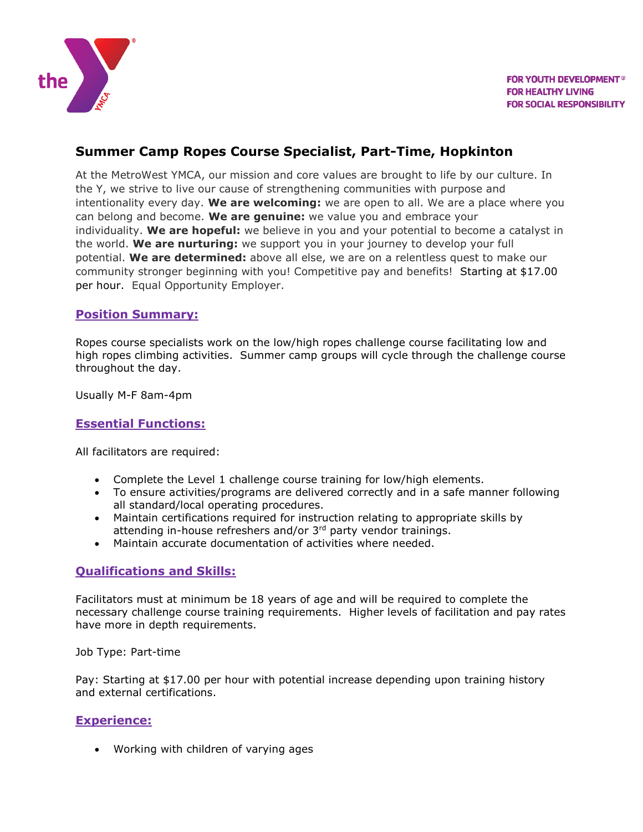

# **Summer Camp Ropes Course Specialist, Part-Time, Hopkinton**

At the MetroWest YMCA, our mission and core values are brought to life by our culture. In the Y, we strive to live our cause of strengthening communities with purpose and intentionality every day. **We are welcoming:** we are open to all. We are a place where you can belong and become. **We are genuine:** we value you and embrace your individuality. **We are hopeful:** we believe in you and your potential to become a catalyst in the world. **We are nurturing:** we support you in your journey to develop your full potential. **We are determined:** above all else, we are on a relentless quest to make our community stronger beginning with you! Competitive pay and benefits! Starting at \$17.00 per hour. Equal Opportunity Employer.

#### **Position Summary:**

Ropes course specialists work on the low/high ropes challenge course facilitating low and high ropes climbing activities. Summer camp groups will cycle through the challenge course throughout the day.

Usually M-F 8am-4pm

### **Essential Functions:**

All facilitators are required:

- Complete the Level 1 challenge course training for low/high elements.
- To ensure activities/programs are delivered correctly and in a safe manner following all standard/local operating procedures.
- Maintain certifications required for instruction relating to appropriate skills by attending in-house refreshers and/or 3rd party vendor trainings.
- Maintain accurate documentation of activities where needed.

#### **Qualifications and Skills:**

Facilitators must at minimum be 18 years of age and will be required to complete the necessary challenge course training requirements. Higher levels of facilitation and pay rates have more in depth requirements.

Job Type: Part-time

Pay: Starting at \$17.00 per hour with potential increase depending upon training history and external certifications.

#### **Experience:**

Working with children of varying ages